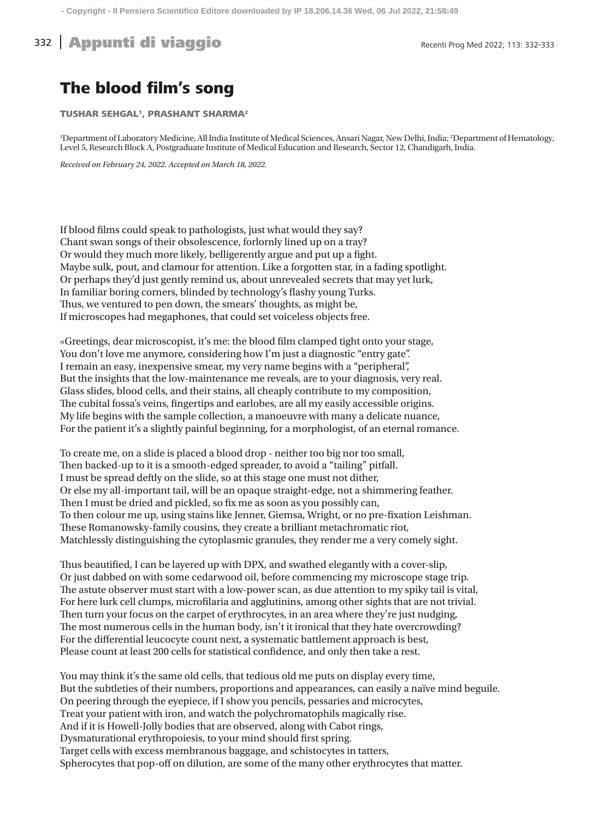## The blood film's song

TUSHAR SEHGAL<sup>1</sup>, PRASHANT SHARMA<sup>2</sup>

<sup>1</sup>Department of Laboratory Medicine, All India Institute of Medical Sciences, Ansari Nagar, New Delhi, India; <sup>2</sup>Department of Hematology, Level 5, Research Block A, Postgraduate Institute of Medical Education and Research, Sector 12, Chandigarh, India.

*Received on February 24, 2022. Accepted on March 18, 2022.*

If blood films could speak to pathologists, just what would they say? Chant swan songs of their obsolescence, forlornly lined up on a tray? Or would they much more likely, belligerently argue and put up a fight. Maybe sulk, pout, and clamour for attention. Like a forgotten star, in a fading spotlight. Or perhaps they'd just gently remind us, about unrevealed secrets that may yet lurk, In familiar boring corners, blinded by technology's flashy young Turks. Thus, we ventured to pen down, the smears' thoughts, as might be, If microscopes had megaphones, that could set voiceless objects free.

«Greetings, dear microscopist, it's me: the blood film clamped tight onto your stage, You don't love me anymore, considering how I'm just a diagnostic "entry gate". I remain an easy, inexpensive smear, my very name begins with a "peripheral", But the insights that the low-maintenance me reveals, are to your diagnosis, very real. Glass slides, blood cells, and their stains, all cheaply contribute to my composition, The cubital fossa's veins, fingertips and earlobes, are all my easily accessible origins. My life begins with the sample collection, a manoeuvre with many a delicate nuance, For the patient it's a slightly painful beginning, for a morphologist, of an eternal romance.

To create me, on a slide is placed a blood drop - neither too big nor too small, Then backed-up to it is a smooth-edged spreader, to avoid a "tailing" pitfall. I must be spread deftly on the slide, so at this stage one must not dither, Or else my all-important tail, will be an opaque straight-edge, not a shimmering feather. Then I must be dried and pickled, so fix me as soon as you possibly can, To then colour me up, using stains like Jenner, Giemsa, Wright, or no pre-fixation Leishman. These Romanowsky-family cousins, they create a brilliant metachromatic riot, Matchlessly distinguishing the cytoplasmic granules, they render me a very comely sight.

Thus beautified, I can be layered up with DPX, and swathed elegantly with a cover-slip, Or just dabbed on with some cedarwood oil, before commencing my microscope stage trip. The astute observer must start with a low-power scan, as due attention to my spiky tail is vital, For here lurk cell clumps, microfilaria and agglutinins, among other sights that are not trivial. Then turn your focus on the carpet of erythrocytes, in an area where they're just nudging, The most numerous cells in the human body, isn't it ironical that they hate overcrowding? For the differential leucocyte count next, a systematic battlement approach is best, Please count at least 200 cells for statistical confidence, and only then take a rest.

You may think it's the same old cells, that tedious old me puts on display every time, But the subtleties of their numbers, proportions and appearances, can easily a naïve mind beguile. On peering through the eyepiece, if I show you pencils, pessaries and microcytes, Treat your patient with iron, and watch the polychromatophils magically rise. And if it is Howell-Jolly bodies that are observed, along with Cabot rings, Dysmaturational erythropoiesis, to your mind should first spring. Target cells with excess membranous baggage, and schistocytes in tatters, Spherocytes that pop-off on dilution, are some of the many other erythrocytes that matter.